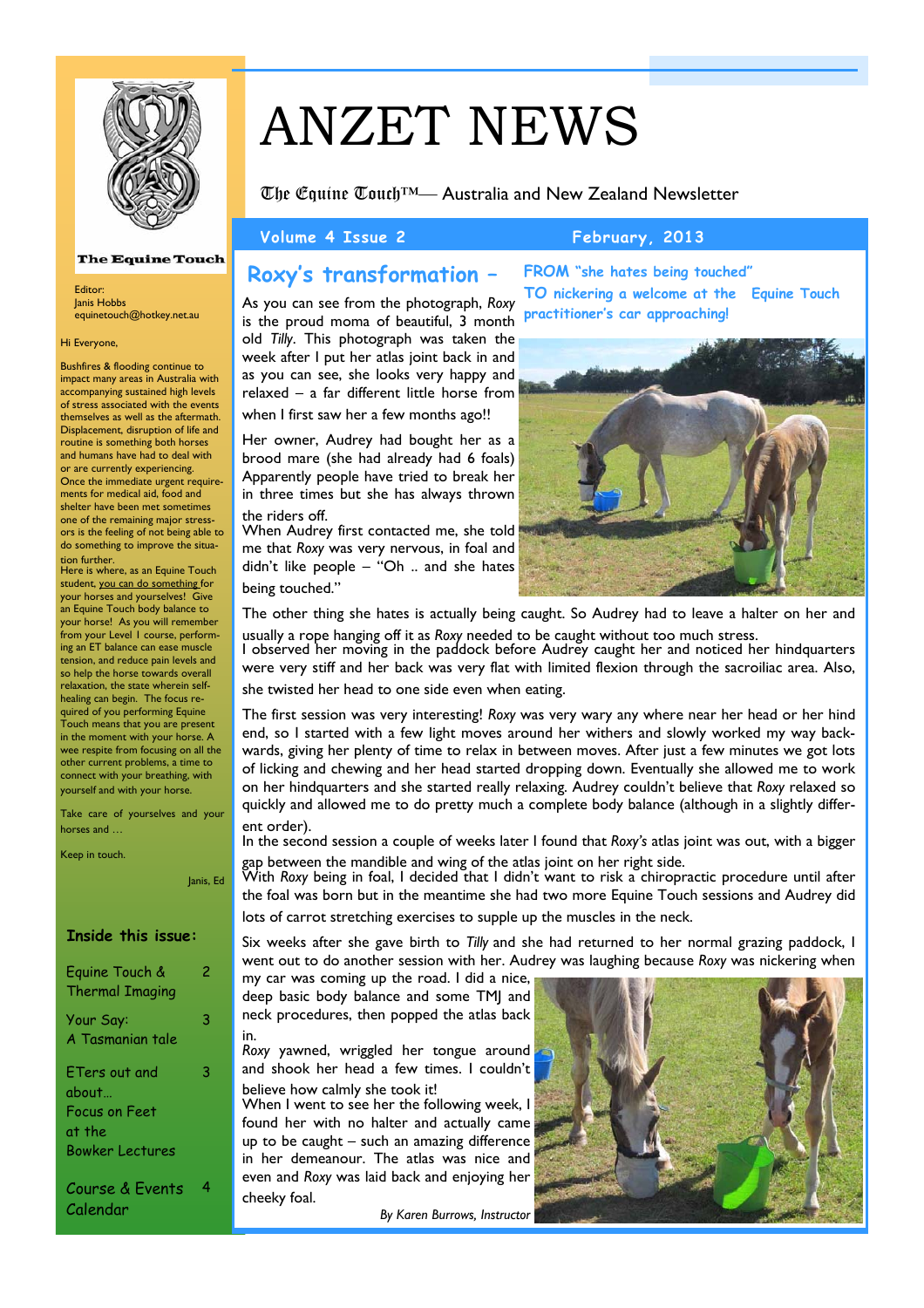

### **The Equine Touch**

Editor: Janis Hobbs equinetouch@hotkey.net.au

### Hi Everyone,

Bushfires & flooding continue to impact many areas in Australia with accompanying sustained high levels of stress associated with the events themselves as well as the aftermath. Displacement, disruption of life and routine is something both horses and humans have had to deal with or are currently experiencing. Once the immediate urgent requirements for medical aid, food and shelter have been met sometimes one of the remaining major stressors is the feeling of not being able to do something to improve the situation further.

Here is where, as an Equine Touch student, you can do something for your horses and yourselves! Give .<br>an Equine Touch body balance to your horse! As you will remember from your Level 1 course, performing an ET balance can ease muscle tension, and reduce pain levels and so help the horse towards overall relaxation, the state wherein selfhealing can begin. The focus required of you performing Equine Touch means that you are present in the moment with your horse. A wee respite from focusing on all the other current problems, a time to connect with your breathing, with yourself and with your horse.

Take care of yourselves and your horses and …

Keep in touch.

Janis, Ed

### **Inside this issue:**

| Equine Touch &<br><b>Thermal Imaging</b>                                    | 2 |
|-----------------------------------------------------------------------------|---|
| Your Say:<br>A Tasmanian tale                                               | 3 |
| ETers out and<br>about<br>Focus on Feet<br>at the<br><b>Bowker Lectures</b> | 3 |
| Course & Events<br>Calendar                                                 |   |

# ANZET NEWS

The Equine Touch™— Australia and New Zealand Newsletter

### Volume 4 Issue 2 February, 2013

## **Roxy's transformation –**

As you can see from the photograph, *Roxy* is the proud moma of beautiful, 3 month old *Tilly*. This photograph was taken the week after I put her atlas joint back in and as you can see, she looks very happy and relaxed – a far different little horse from when I first saw her a few months ago!!

Her owner, Audrey had bought her as a brood mare (she had already had 6 foals) Apparently people have tried to break her in three times but she has always thrown the riders off.

When Audrey first contacted me, she told me that *Roxy* was very nervous, in foal and didn't like people – "Oh .. and she hates being touched."

**FROM "she hates being touched" TO nickering a welcome at the Equine Touch practitioner's car approaching!** 



The other thing she hates is actually being caught. So Audrey had to leave a halter on her and

usually a rope hanging off it as *Roxy* needed to be caught without too much stress. I observed her moving in the paddock before Audrey caught her and noticed her hindquarters were very stiff and her back was very flat with limited flexion through the sacroiliac area. Also, she twisted her head to one side even when eating.

The first session was very interesting! *Roxy* was very wary any where near her head or her hind end, so I started with a few light moves around her withers and slowly worked my way backwards, giving her plenty of time to relax in between moves. After just a few minutes we got lots of licking and chewing and her head started dropping down. Eventually she allowed me to work on her hindquarters and she started really relaxing. Audrey couldn't believe that *Roxy* relaxed so quickly and allowed me to do pretty much a complete body balance (although in a slightly different order).

In the second session a couple of weeks later I found that *Roxy's* atlas joint was out, with a bigger gap between the mandible and wing of the atlas joint on her right side.

With *Roxy* being in foal, I decided that I didn't want to risk a chiropractic procedure until after the foal was born but in the meantime she had two more Equine Touch sessions and Audrey did lots of carrot stretching exercises to supple up the muscles in the neck.

Six weeks after she gave birth to *Tilly* and she had returned to her normal grazing paddock, I went out to do another session with her. Audrey was laughing because *Roxy* was nickering when

my car was coming up the road. I did a nice, deep basic body balance and some TMJ and neck procedures, then popped the atlas back in.

*Roxy* yawned, wriggled her tongue around and shook her head a few times. I couldn't believe how calmly she took it!

When I went to see her the following week, I found her with no halter and actually came up to be caught – such an amazing difference in her demeanour. The atlas was nice and even and *Roxy* was laid back and enjoying her cheeky foal.

*By Karen Burrows, Instructor* 

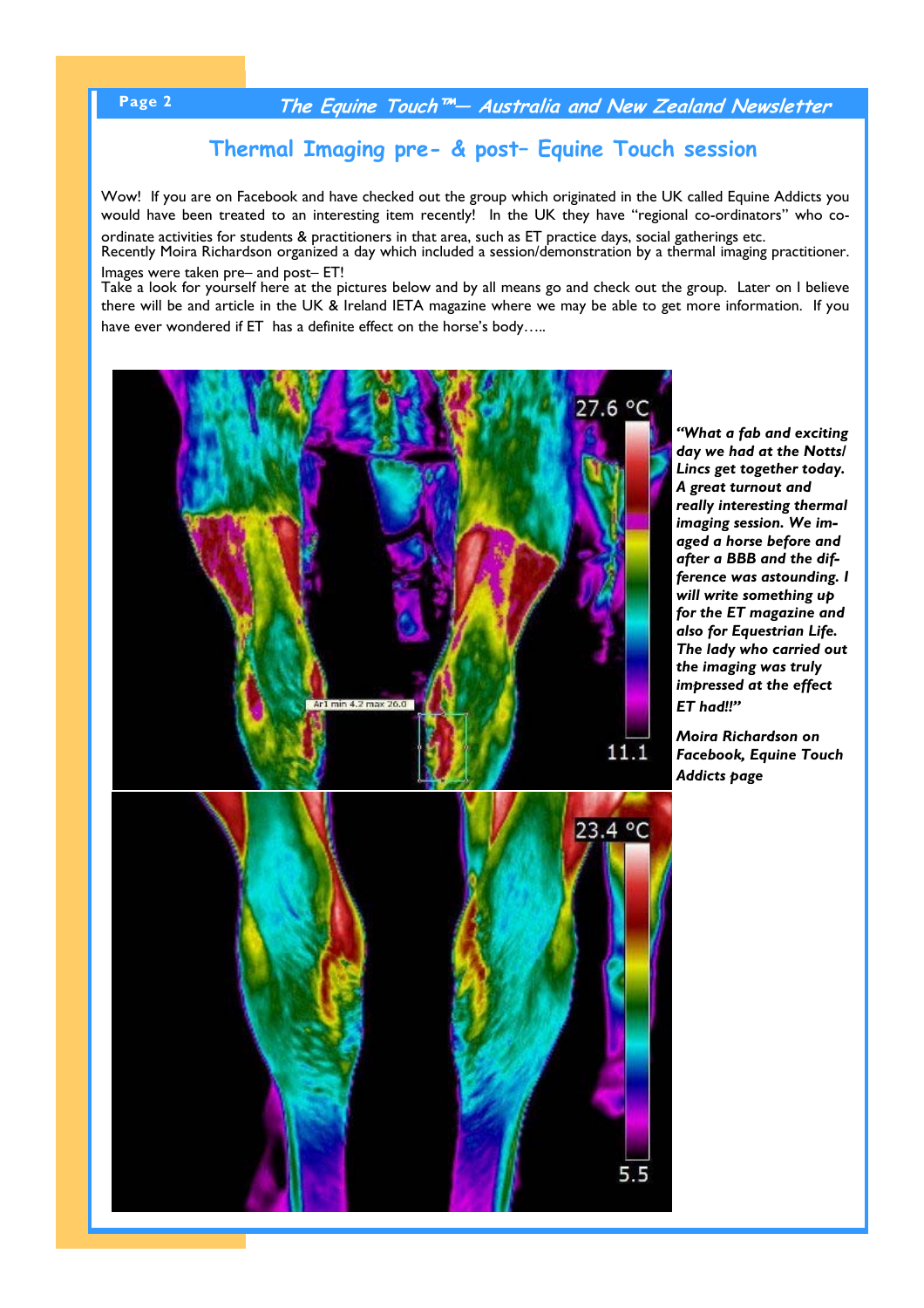# **Page 2 The Equine Touch™— Australia and New Zealand Newsletter**

# **Thermal Imaging pre- & post– Equine Touch session**

Wow! If you are on Facebook and have checked out the group which originated in the UK called Equine Addicts you would have been treated to an interesting item recently! In the UK they have "regional co-ordinators" who co-

ordinate activities for students & practitioners in that area, such as ET practice days, social gatherings etc. Recently Moira Richardson organized a day which included a session/demonstration by a thermal imaging practitioner. Images were taken pre– and post– ET!

Take a look for yourself here at the pictures below and by all means go and check out the group. Later on I believe there will be and article in the UK & Ireland IETA magazine where we may be able to get more information. If you have ever wondered if ET has a definite effect on the horse's body.....





*"What a fab and exciting day we had at the Notts/ Lincs get together today. A great turnout and really interesting thermal imaging session. We imaged a horse before and after a BBB and the difference was astounding. I will write something up for the ET magazine and also for Equestrian Life. The lady who carried out the imaging was truly impressed at the effect ET had!!"* 

*Moira Richardson on Facebook, Equine Touch Addicts page*